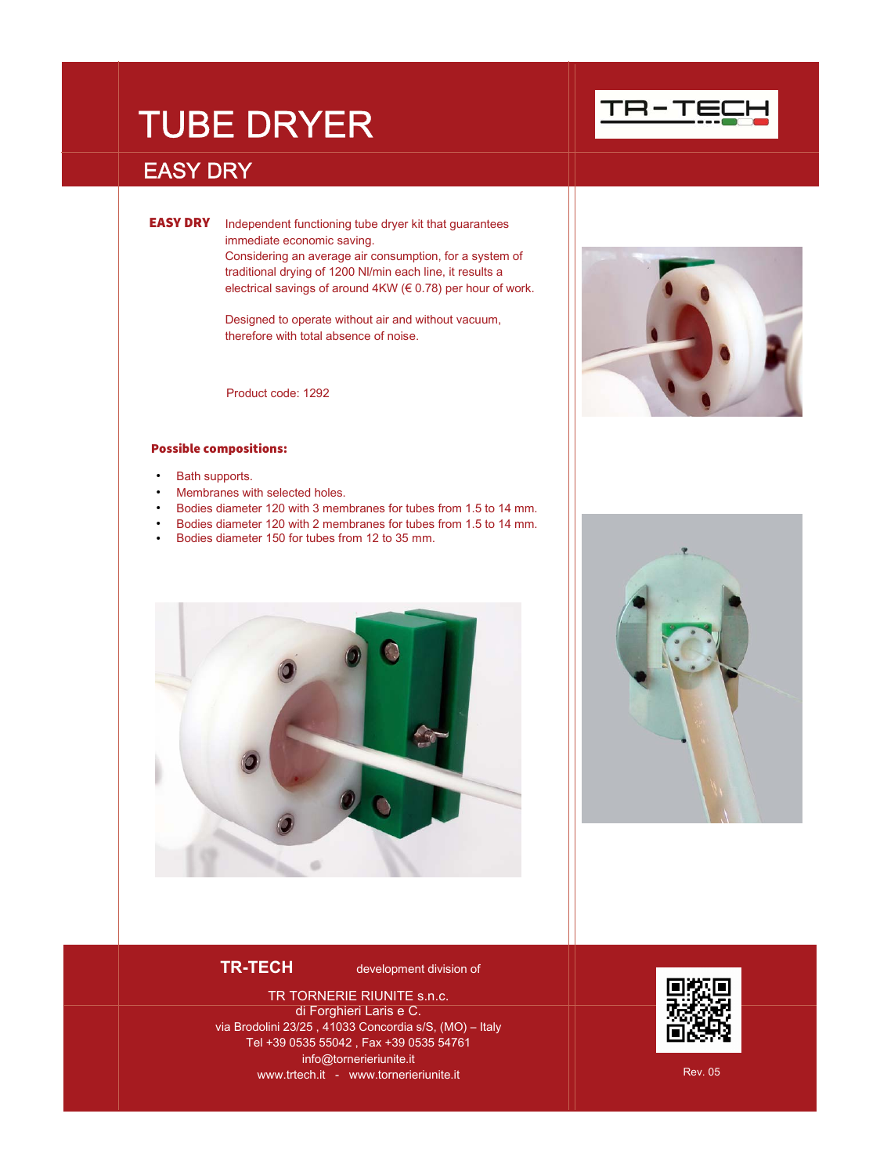# TUBE DRYER

## EASY DRY

**EASY DRY** Independent functioning tube dryer kit that guarantees immediate economic saving. Considering an average air consumption, for a system of traditional drying of 1200 Nl/min each line, it results a electrical savings of around 4KW (€ 0.78) per hour of work.

> Designed to operate without air and without vacuum, therefore with total absence of noise.

Product code: 1292

### Possible compositions:

- Bath supports.
- Membranes with selected holes.
- Bodies diameter 120 with 3 membranes for tubes from 1.5 to 14 mm.
- Bodies diameter 120 with 2 membranes for tubes from 1.5 to 14 mm.
- Bodies diameter 150 for tubes from 12 to 35 mm.









**TR-TECH development division of** 

TR TORNERIE RIUNITE s.n.c. di Forghieri Laris e C. via Brodolini 23/25 , 41033 Concordia s/S, (MO) – Italy Tel +39 0535 55042 , Fax +39 0535 54761 info@tornerieriunite.it www.trtech.it - www.tornerieriunite.it Rev. 05